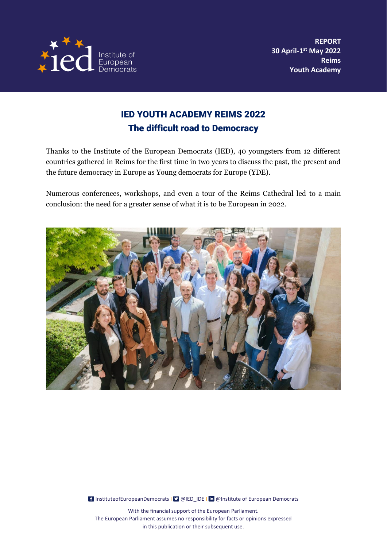

## IED YOUTH ACADEMY REIMS 2022 The difficult road to Democracy

Thanks to the Institute of the European Democrats (IED), 40 youngsters from 12 different countries gathered in Reims for the first time in two years to discuss the past, the present and the future democracy in Europe as Young democrats for Europe (YDE).

Numerous conferences, workshops, and even a tour of the Reims Cathedral led to a main conclusion: the need for a greater sense of what it is to be European in 2022.



[InstituteofEuropeanDemocrats](https://www.facebook.com/InstituteofEuropeanDemocrats) | **I @IED\_IDE I in [@Institute of European Democrats](https://www.linkedin.com/company/institute-of-european-democrats/)**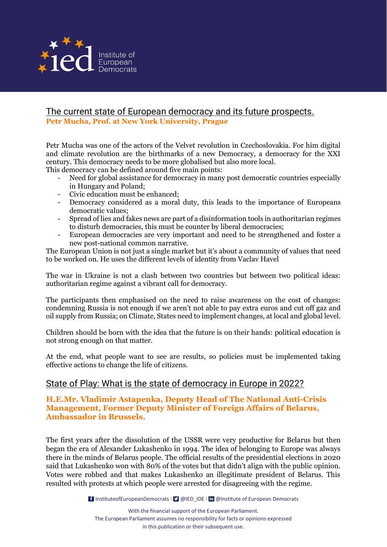

# The current state of European democracy and its future prospects.

**Petr Mucha, Prof. at New York University, Prague**

Petr Mucha was one of the actors of the Velvet revolution in Czechoslovakia. For him digital and climate revolution are the birthmarks of a new Democracy, a democracy for the XXI century. This democracy needs to be more globalised but also more local.

This democracy can be defined around five main points:

- Need for global assistance for democracy in many post democratic countries especially in Hungary and Poland;
- Civic education must be enhanced;
- Democracy considered as a moral duty, this leads to the importance of Europeans democratic values;
- Spread of lies and fakes news are part of a disinformation tools in authoritarian regimes to disturb democracies, this must be counter by liberal democracies;
- European democracies are very important and need to be strengthened and foster a new post-national common narrative.

The European Union is not just a single market but it's about a community of values that need to be worked on. He uses the different levels of identity from Vaclav Havel

The war in Ukraine is not a clash between two countries but between two political ideas: authoritarian regime against a vibrant call for democracy.

The participants then emphasised on the need to raise awareness on the cost of changes: condemning Russia is not enough if we aren't not able to pay extra euros and cut off gaz and oil supply from Russia; on Climate, States need to implement changes, at local and global level.

Children should be born with the idea that the future is on their hands: political education is not strong enough on that matter.

At the end, what people want to see are results, so policies must be implemented taking effective actions to change the life of citizens.

### State of Play: What is the state of democracy in Europe in 2022?

#### **H.E.Mr. Vladimir Astapenka, Deputy Head of The National Anti-Crisis Management, Former Deputy Minister of Foreign Affairs of Belarus, Ambassador in Brussels.**

The first years after the dissolution of the USSR were very productive for Belarus but then began the era of Alexander Lukashenko in 1994. The idea of belonging to Europe was always there in the minds of Belarus people. The official results of the presidential elections in 2020 said that Lukashenko won with 80% of the votes but that didn't align with the public opinion. Votes were robbed and that makes Lukashenko an illegitimate president of Belarus. This resulted with protests at which people were arrested for disagreeing with the regime.

[InstituteofEuropeanDemocrats](https://www.facebook.com/InstituteofEuropeanDemocrats) | **I @IED\_IDE I in [@Institute of European Democrats](https://www.linkedin.com/company/institute-of-european-democrats/)**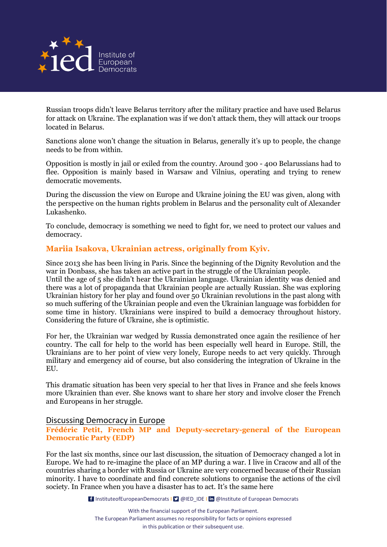

Russian troops didn't leave Belarus territory after the military practice and have used Belarus for attack on Ukraine. The explanation was if we don't attack them, they will attack our troops located in Belarus.

Sanctions alone won't change the situation in Belarus, generally it's up to people, the change needs to be from within.

Opposition is mostly in jail or exiled from the country. Around 300 - 400 Belarussians had to flee. Opposition is mainly based in Warsaw and Vilnius, operating and trying to renew democratic movements.

During the discussion the view on Europe and Ukraine joining the EU was given, along with the perspective on the human rights problem in Belarus and the personality cult of Alexander Lukashenko.

To conclude, democracy is something we need to fight for, we need to protect our values and democracy.

#### **Mariia Isakova, Ukrainian actress, originally from Kyiv.**

Since 2013 she has been living in Paris. Since the beginning of the Dignity Revolution and the war in Donbass, she has taken an active part in the struggle of the Ukrainian people. Until the age of 5 she didn't hear the Ukrainian language. Ukrainian identity was denied and

there was a lot of propaganda that Ukrainian people are actually Russian. She was exploring Ukrainian history for her play and found over 50 Ukrainian revolutions in the past along with so much suffering of the Ukrainian people and even the Ukrainian language was forbidden for some time in history. Ukrainians were inspired to build a democracy throughout history. Considering the future of Ukraine, she is optimistic.

For her, the Ukrainian war wedged by Russia demonstrated once again the resilience of her country. The call for help to the world has been especially well heard in Europe. Still, the Ukrainians are to her point of view very lonely, Europe needs to act very quickly. Through military and emergency aid of course, but also considering the integration of Ukraine in the EU.

This dramatic situation has been very special to her that lives in France and she feels knows more Ukrainien than ever. She knows want to share her story and involve closer the French and Europeans in her struggle.

#### Discussing Democracy in Europe

**Frédéric Petit, French MP and Deputy-secretary-general of the European Democratic Party (EDP)**

For the last six months, since our last discussion, the situation of Democracy changed a lot in Europe. We had to re-imagine the place of an MP during a war. I live in Cracow and all of the countries sharing a border with Russia or Ukraine are very concerned because of their Russian minority. I have to coordinate and find concrete solutions to organise the actions of the civil society. In France when you have a disaster has to act. It's the same here

[InstituteofEuropeanDemocrats](https://www.facebook.com/InstituteofEuropeanDemocrats) | **I @IED\_IDE I in [@Institute of European Democrats](https://www.linkedin.com/company/institute-of-european-democrats/)**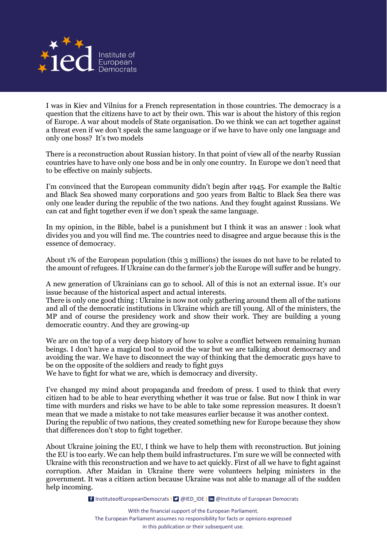

I was in Kiev and Vilnius for a French representation in those countries. The democracy is a question that the citizens have to act by their own. This war is about the history of this region of Europe. A war about models of State organisation. Do we think we can act together against a threat even if we don't speak the same language or if we have to have only one language and only one boss? It's two models

There is a reconstruction about Russian history. In that point of view all of the nearby Russian countries have to have only one boss and be in only one country. In Europe we don't need that to be effective on mainly subjects.

I'm convinced that the European community didn't begin after 1945. For example the Baltic and Black Sea showed many corporations and 500 years from Baltic to Black Sea there was only one leader during the republic of the two nations. And they fought against Russians. We can cat and fight together even if we don't speak the same language.

In my opinion, in the Bible, babel is a punishment but I think it was an answer : look what divides you and you will find me. The countries need to disagree and argue because this is the essence of democracy.

About 1% of the European population (this 3 millions) the issues do not have to be related to the amount of refugees. If Ukraine can do the farmer's job the Europe will suffer and be hungry.

A new generation of Ukrainians can go to school. All of this is not an external issue. It's our issue because of the historical aspect and actual interests.

There is only one good thing : Ukraine is now not only gathering around them all of the nations and all of the democratic institutions in Ukraine which are till young. All of the ministers, the MP and of course the presidency work and show their work. They are building a young democratic country. And they are growing-up

We are on the top of a very deep history of how to solve a conflict between remaining human beings. I don't have a magical tool to avoid the war but we are talking about democracy and avoiding the war. We have to disconnect the way of thinking that the democratic guys have to be on the opposite of the soldiers and ready to fight guys

We have to fight for what we are, which is democracy and diversity.

I've changed my mind about propaganda and freedom of press. I used to think that every citizen had to be able to hear everything whether it was true or false. But now I think in war time with murders and risks we have to be able to take some repression measures. It doesn't mean that we made a mistake to not take measures earlier because it was another context. During the republic of two nations, they created something new for Europe because they show that differences don't stop to fight together.

About Ukraine joining the EU, I think we have to help them with reconstruction. But joining the EU is too early. We can help them build infrastructures. I'm sure we will be connected with Ukraine with this reconstruction and we have to act quickly. First of all we have to fight against corruption. After Maidan in Ukraine there were volunteers helping ministers in the government. It was a citizen action because Ukraine was not able to manage all of the sudden help incoming.

[InstituteofEuropeanDemocrats](https://www.facebook.com/InstituteofEuropeanDemocrats) | **I @IED\_IDE I in [@Institute of European Democrats](https://www.linkedin.com/company/institute-of-european-democrats/)**